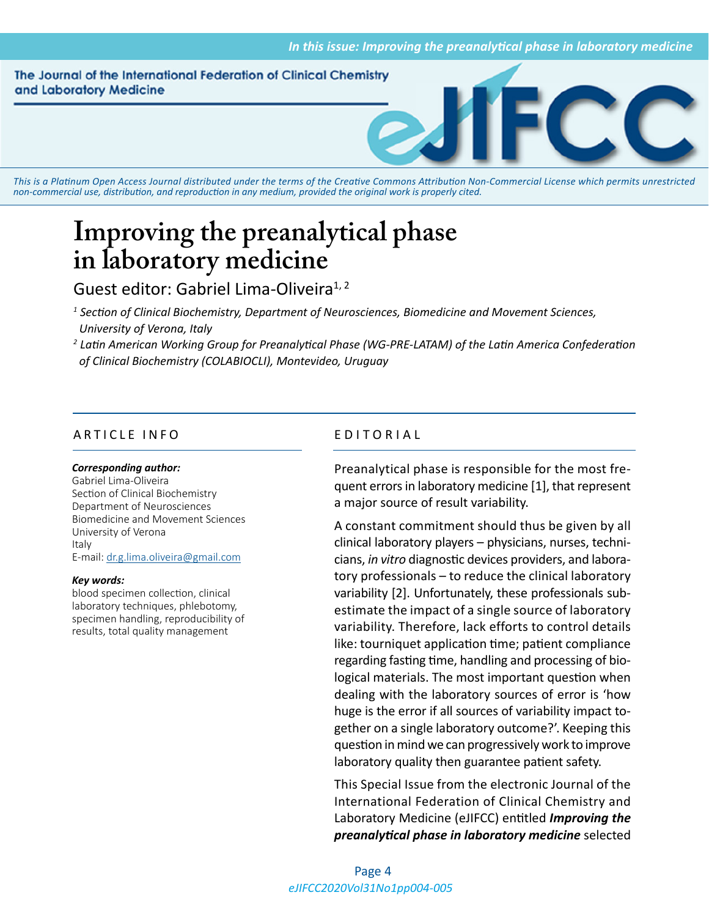#### The Journal of the International Federation of Clinical Chemistry and Laboratory Medicine



*This is a Platinum Open Access Journal distributed under the terms of the [Creative Commons Attribution Non-Commercial License](https://creativecommons.org/licenses/by-nc/4.0/) which permits unrestricted non-commercial use, distribution, and reproduction in any medium, provided the original work is properly cited.*

# **Improving the preanalytical phase in laboratory medicine**

## Guest editor: Gabriel Lima-Oliveira<sup>1, 2</sup>

- *1 Section of Clinical Biochemistry, Department of Neurosciences, Biomedicine and Movement Sciences, University of Verona, Italy*
- *2 Latin American Working Group for Preanalytical Phase (WG-PRE-LATAM) of the Latin America Confederation of Clinical Biochemistry (COLABIOCLI), Montevideo, Uruguay*

### ARTICLE INFO EDITORIAL

#### *Corresponding author:*

Gabriel Lima-Oliveira Section of Clinical Biochemistry Department of Neurosciences Biomedicine and Movement Sciences University of Verona Italy E-mail: [dr.g.lima.oliveira@gmail.com](mailto:dr.g.lima.oliveira@gmail.com)

#### *Key words:*

blood specimen collection, clinical laboratory techniques, phlebotomy, specimen handling, reproducibility of results, total quality management

Preanalytical phase is responsible for the most frequent errors in laboratory medicine [1], that represent a major source of result variability.

A constant commitment should thus be given by all clinical laboratory players – physicians, nurses, technicians, *in vitro* diagnostic devices providers, and laboratory professionals – to reduce the clinical laboratory variability [2]. Unfortunately, these professionals subestimate the impact of a single source of laboratory variability. Therefore, lack efforts to control details like: tourniquet application time; patient compliance regarding fasting time, handling and processing of biological materials. The most important question when dealing with the laboratory sources of error is 'how huge is the error if all sources of variability impact together on a single laboratory outcome?'. Keeping this question in mind we can progressively work to improve laboratory quality then guarantee patient safety.

This Special Issue from the electronic Journal of the International Federation of Clinical Chemistry and Laboratory Medicine (eJIFCC) entitled *Improving the preanalytical phase in laboratory medicine* selected